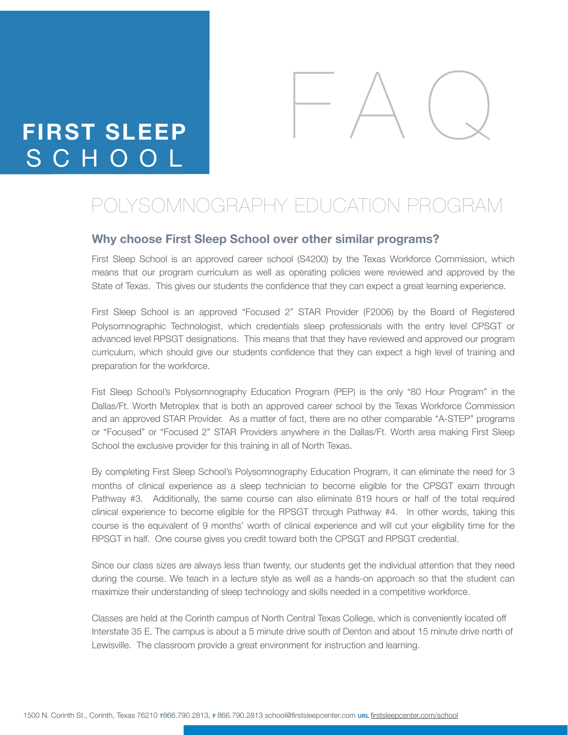# **FIRST SLEEP** SCHOOL



# POLYSOMNOGRAPHY EDUCATION PROGRAM

#### **Why choose First Sleep School over other similar programs?**

First Sleep School is an approved career school (S4200) by the Texas Workforce Commission, which means that our program curriculum as well as operating policies were reviewed and approved by the State of Texas. This gives our students the confidence that they can expect a great learning experience.

First Sleep School is an approved "Focused 2" STAR Provider (F2006) by the Board of Registered Polysomnographic Technologist, which credentials sleep professionals with the entry level CPSGT or advanced level RPSGT designations. This means that that they have reviewed and approved our program curriculum, which should give our students confidence that they can expect a high level of training and preparation for the workforce.

Fist Sleep School's Polysomnography Education Program (PEP) is the only "80 Hour Program" in the Dallas/Ft. Worth Metroplex that is both an approved career school by the Texas Workforce Commission and an approved STAR Provider. As a matter of fact, there are no other comparable "A-STEP" programs or "Focused" or "Focused 2" STAR Providers anywhere in the Dallas/Ft. Worth area making First Sleep School the exclusive provider for this training in all of North Texas.

By completing First Sleep School's Polysomnography Education Program, it can eliminate the need for 3 months of clinical experience as a sleep technician to become eligible for the CPSGT exam through Pathway #3. Additionally, the same course can also eliminate 819 hours or half of the total required clinical experience to become eligible for the RPSGT through Pathway #4. In other words, taking this course is the equivalent of 9 months' worth of clinical experience and will cut your eligibility time for the RPSGT in half. One course gives you credit toward both the CPSGT and RPSGT credential.

Since our class sizes are always less than twenty, our students get the individual attention that they need during the course. We teach in a lecture style as well as a hands-on approach so that the student can maximize their understanding of sleep technology and skills needed in a competitive workforce.

Classes are held at the Corinth campus of North Central Texas College, which is conveniently located off Interstate 35 E. The campus is about a 5 minute drive south of Denton and about 15 minute drive north of Lewisville. The classroom provide a great environment for instruction and learning.